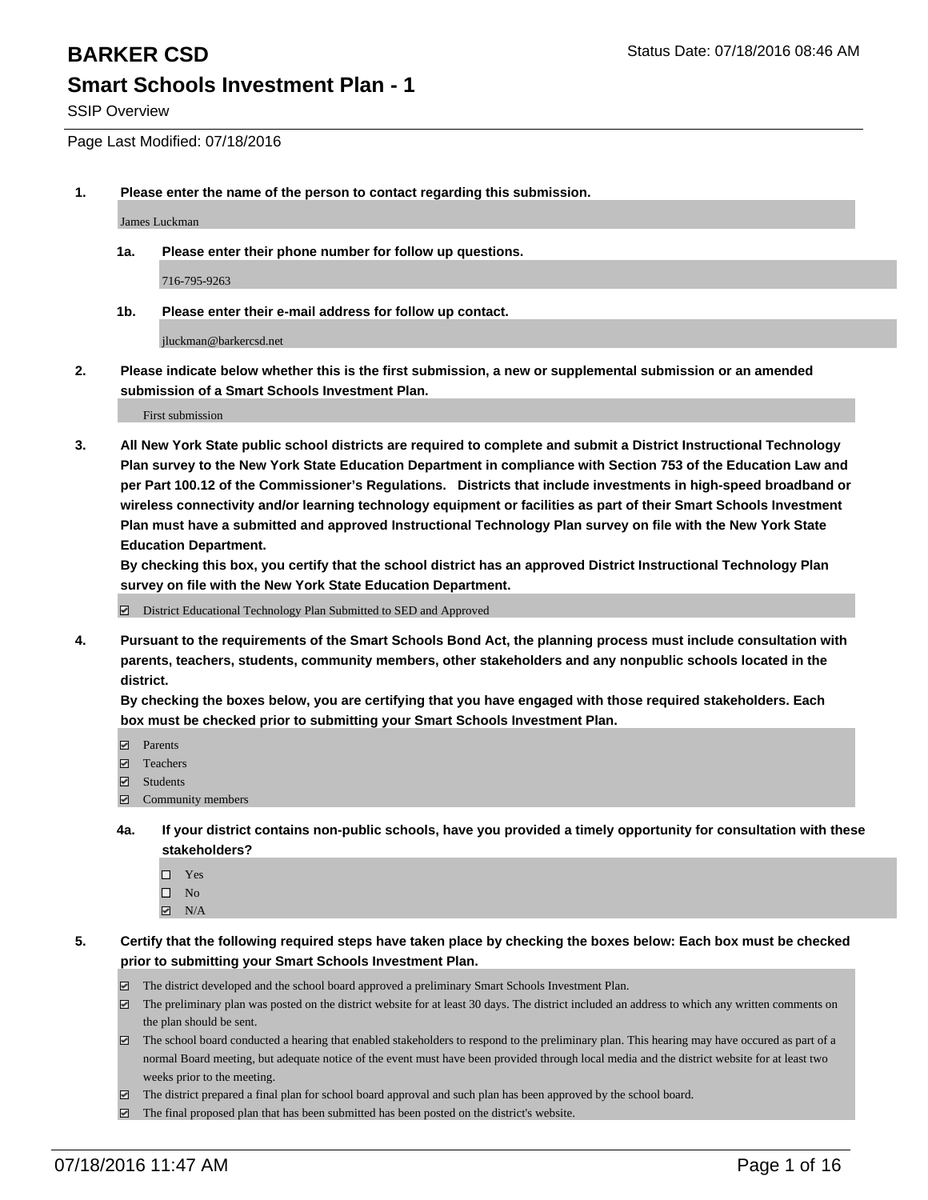SSIP Overview

Page Last Modified: 07/18/2016

**1. Please enter the name of the person to contact regarding this submission.**

James Luckman

**1a. Please enter their phone number for follow up questions.**

716-795-9263

**1b. Please enter their e-mail address for follow up contact.**

jluckman@barkercsd.net

**2. Please indicate below whether this is the first submission, a new or supplemental submission or an amended submission of a Smart Schools Investment Plan.**

First submission

**3. All New York State public school districts are required to complete and submit a District Instructional Technology Plan survey to the New York State Education Department in compliance with Section 753 of the Education Law and per Part 100.12 of the Commissioner's Regulations. Districts that include investments in high-speed broadband or wireless connectivity and/or learning technology equipment or facilities as part of their Smart Schools Investment Plan must have a submitted and approved Instructional Technology Plan survey on file with the New York State Education Department.** 

**By checking this box, you certify that the school district has an approved District Instructional Technology Plan survey on file with the New York State Education Department.**

District Educational Technology Plan Submitted to SED and Approved

**4. Pursuant to the requirements of the Smart Schools Bond Act, the planning process must include consultation with parents, teachers, students, community members, other stakeholders and any nonpublic schools located in the district.** 

**By checking the boxes below, you are certifying that you have engaged with those required stakeholders. Each box must be checked prior to submitting your Smart Schools Investment Plan.**

- **Parents**
- Teachers
- Students
- Community members
- **4a. If your district contains non-public schools, have you provided a timely opportunity for consultation with these stakeholders?**
	- $\Box$  Yes  $\square$  No
	- $\boxtimes$  N/A
- **5. Certify that the following required steps have taken place by checking the boxes below: Each box must be checked prior to submitting your Smart Schools Investment Plan.**
	- The district developed and the school board approved a preliminary Smart Schools Investment Plan.
	- $\boxdot$  The preliminary plan was posted on the district website for at least 30 days. The district included an address to which any written comments on the plan should be sent.
	- $\Box$  The school board conducted a hearing that enabled stakeholders to respond to the preliminary plan. This hearing may have occured as part of a normal Board meeting, but adequate notice of the event must have been provided through local media and the district website for at least two weeks prior to the meeting.
	- The district prepared a final plan for school board approval and such plan has been approved by the school board.
	- $\boxdot$  The final proposed plan that has been submitted has been posted on the district's website.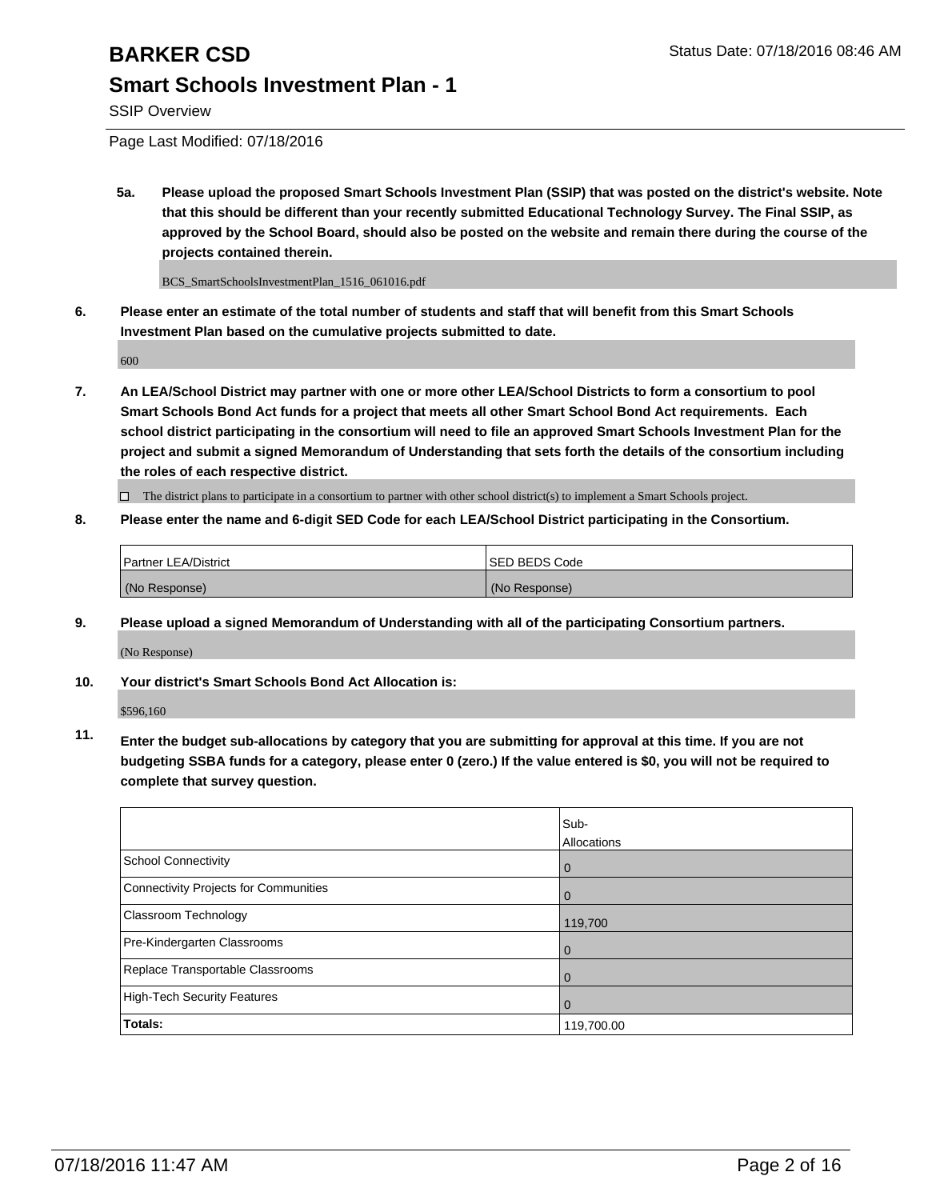SSIP Overview

Page Last Modified: 07/18/2016

**5a. Please upload the proposed Smart Schools Investment Plan (SSIP) that was posted on the district's website. Note that this should be different than your recently submitted Educational Technology Survey. The Final SSIP, as approved by the School Board, should also be posted on the website and remain there during the course of the projects contained therein.**

BCS\_SmartSchoolsInvestmentPlan\_1516\_061016.pdf

**6. Please enter an estimate of the total number of students and staff that will benefit from this Smart Schools Investment Plan based on the cumulative projects submitted to date.**

600

**7. An LEA/School District may partner with one or more other LEA/School Districts to form a consortium to pool Smart Schools Bond Act funds for a project that meets all other Smart School Bond Act requirements. Each school district participating in the consortium will need to file an approved Smart Schools Investment Plan for the project and submit a signed Memorandum of Understanding that sets forth the details of the consortium including the roles of each respective district.**

 $\Box$  The district plans to participate in a consortium to partner with other school district(s) to implement a Smart Schools project.

**8. Please enter the name and 6-digit SED Code for each LEA/School District participating in the Consortium.**

| <b>Partner LEA/District</b> | ISED BEDS Code |
|-----------------------------|----------------|
| (No Response)               | (No Response)  |

**9. Please upload a signed Memorandum of Understanding with all of the participating Consortium partners.**

(No Response)

**10. Your district's Smart Schools Bond Act Allocation is:**

\$596,160

**11. Enter the budget sub-allocations by category that you are submitting for approval at this time. If you are not budgeting SSBA funds for a category, please enter 0 (zero.) If the value entered is \$0, you will not be required to complete that survey question.**

|                                       | Sub-        |
|---------------------------------------|-------------|
|                                       | Allocations |
| <b>School Connectivity</b>            | $\mathbf 0$ |
| Connectivity Projects for Communities | 0           |
| Classroom Technology                  | 119,700     |
| Pre-Kindergarten Classrooms           | $\Omega$    |
| Replace Transportable Classrooms      | 0           |
| High-Tech Security Features           | 0           |
| Totals:                               | 119,700.00  |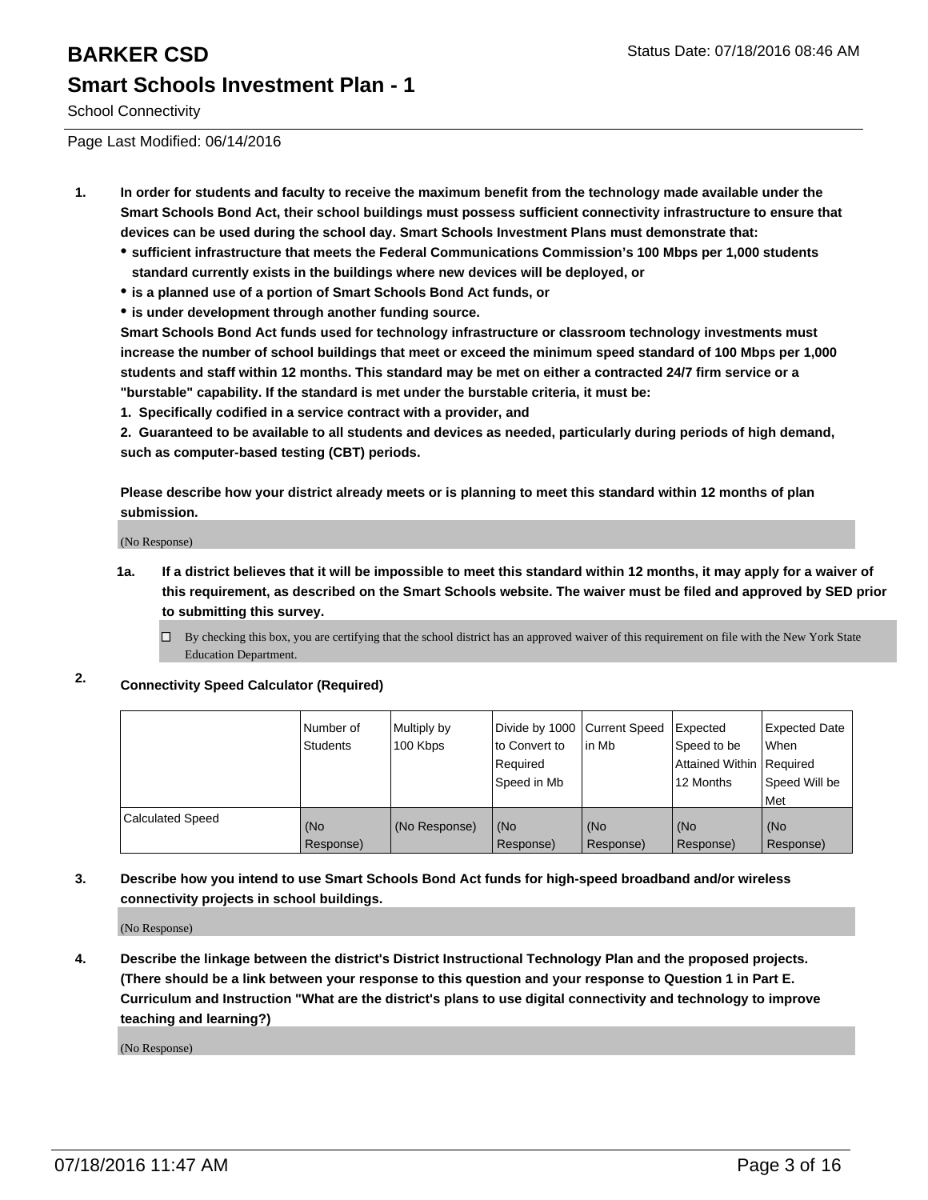School Connectivity

Page Last Modified: 06/14/2016

- **1. In order for students and faculty to receive the maximum benefit from the technology made available under the Smart Schools Bond Act, their school buildings must possess sufficient connectivity infrastructure to ensure that devices can be used during the school day. Smart Schools Investment Plans must demonstrate that:**
	- **sufficient infrastructure that meets the Federal Communications Commission's 100 Mbps per 1,000 students standard currently exists in the buildings where new devices will be deployed, or**
	- **is a planned use of a portion of Smart Schools Bond Act funds, or**
	- **is under development through another funding source.**

**Smart Schools Bond Act funds used for technology infrastructure or classroom technology investments must increase the number of school buildings that meet or exceed the minimum speed standard of 100 Mbps per 1,000 students and staff within 12 months. This standard may be met on either a contracted 24/7 firm service or a "burstable" capability. If the standard is met under the burstable criteria, it must be:**

**1. Specifically codified in a service contract with a provider, and**

**2. Guaranteed to be available to all students and devices as needed, particularly during periods of high demand, such as computer-based testing (CBT) periods.**

**Please describe how your district already meets or is planning to meet this standard within 12 months of plan submission.**

(No Response)

- **1a. If a district believes that it will be impossible to meet this standard within 12 months, it may apply for a waiver of this requirement, as described on the Smart Schools website. The waiver must be filed and approved by SED prior to submitting this survey.**
	- $\Box$  By checking this box, you are certifying that the school district has an approved waiver of this requirement on file with the New York State Education Department.
- **2. Connectivity Speed Calculator (Required)**

|                         | Number of<br>Students | Multiply by<br>100 Kbps | Divide by 1000 Current Speed<br>to Convert to<br>Reauired<br>Speed in Mb | lin Mb           | Expected<br>Speed to be<br>Attained Within   Required<br>12 Months | Expected Date<br>l When<br>Speed Will be<br>l Met |
|-------------------------|-----------------------|-------------------------|--------------------------------------------------------------------------|------------------|--------------------------------------------------------------------|---------------------------------------------------|
| <b>Calculated Speed</b> | (No<br>Response)      | (No Response)           | (No<br>Response)                                                         | (No<br>Response) | (No<br>Response)                                                   | (No<br>Response)                                  |

#### **3. Describe how you intend to use Smart Schools Bond Act funds for high-speed broadband and/or wireless connectivity projects in school buildings.**

(No Response)

**4. Describe the linkage between the district's District Instructional Technology Plan and the proposed projects. (There should be a link between your response to this question and your response to Question 1 in Part E. Curriculum and Instruction "What are the district's plans to use digital connectivity and technology to improve teaching and learning?)**

(No Response)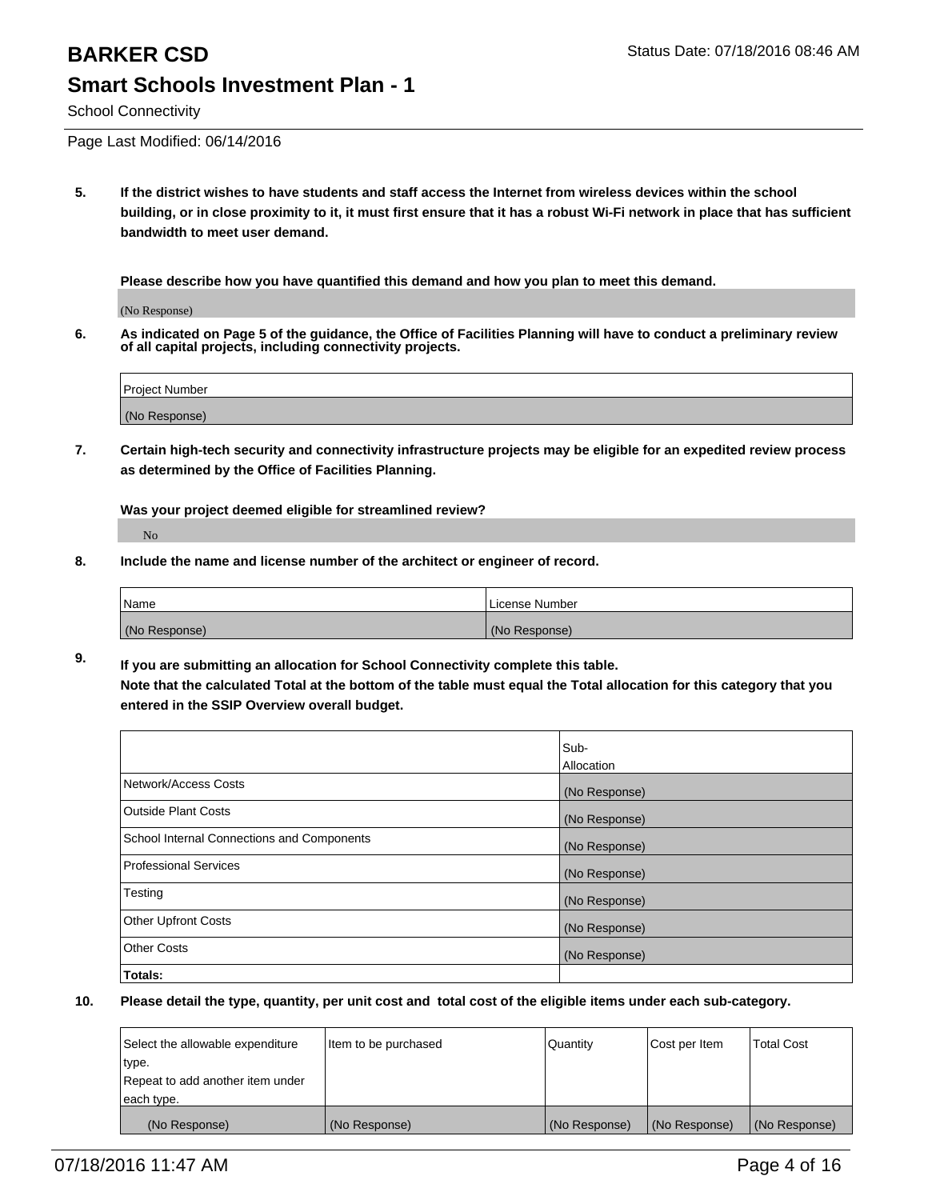School Connectivity

Page Last Modified: 06/14/2016

**5. If the district wishes to have students and staff access the Internet from wireless devices within the school building, or in close proximity to it, it must first ensure that it has a robust Wi-Fi network in place that has sufficient bandwidth to meet user demand.**

**Please describe how you have quantified this demand and how you plan to meet this demand.**

(No Response)

**6. As indicated on Page 5 of the guidance, the Office of Facilities Planning will have to conduct a preliminary review of all capital projects, including connectivity projects.**

| Project Number |  |
|----------------|--|
| (No Response)  |  |

**7. Certain high-tech security and connectivity infrastructure projects may be eligible for an expedited review process as determined by the Office of Facilities Planning.**

**Was your project deemed eligible for streamlined review?**

No

**8. Include the name and license number of the architect or engineer of record.**

| <b>Name</b>   | License Number |
|---------------|----------------|
| (No Response) | (No Response)  |

**9. If you are submitting an allocation for School Connectivity complete this table. Note that the calculated Total at the bottom of the table must equal the Total allocation for this category that you entered in the SSIP Overview overall budget.** 

|                                            | Sub-          |
|--------------------------------------------|---------------|
|                                            | Allocation    |
| Network/Access Costs                       | (No Response) |
| <b>Outside Plant Costs</b>                 | (No Response) |
| School Internal Connections and Components | (No Response) |
| Professional Services                      | (No Response) |
| Testing                                    | (No Response) |
| <b>Other Upfront Costs</b>                 | (No Response) |
| <b>Other Costs</b>                         | (No Response) |
| Totals:                                    |               |

| Select the allowable expenditure | litem to be purchased | Quantity      | Cost per Item | <b>Total Cost</b> |
|----------------------------------|-----------------------|---------------|---------------|-------------------|
| type.                            |                       |               |               |                   |
| Repeat to add another item under |                       |               |               |                   |
| each type.                       |                       |               |               |                   |
| (No Response)                    | (No Response)         | (No Response) | (No Response) | (No Response)     |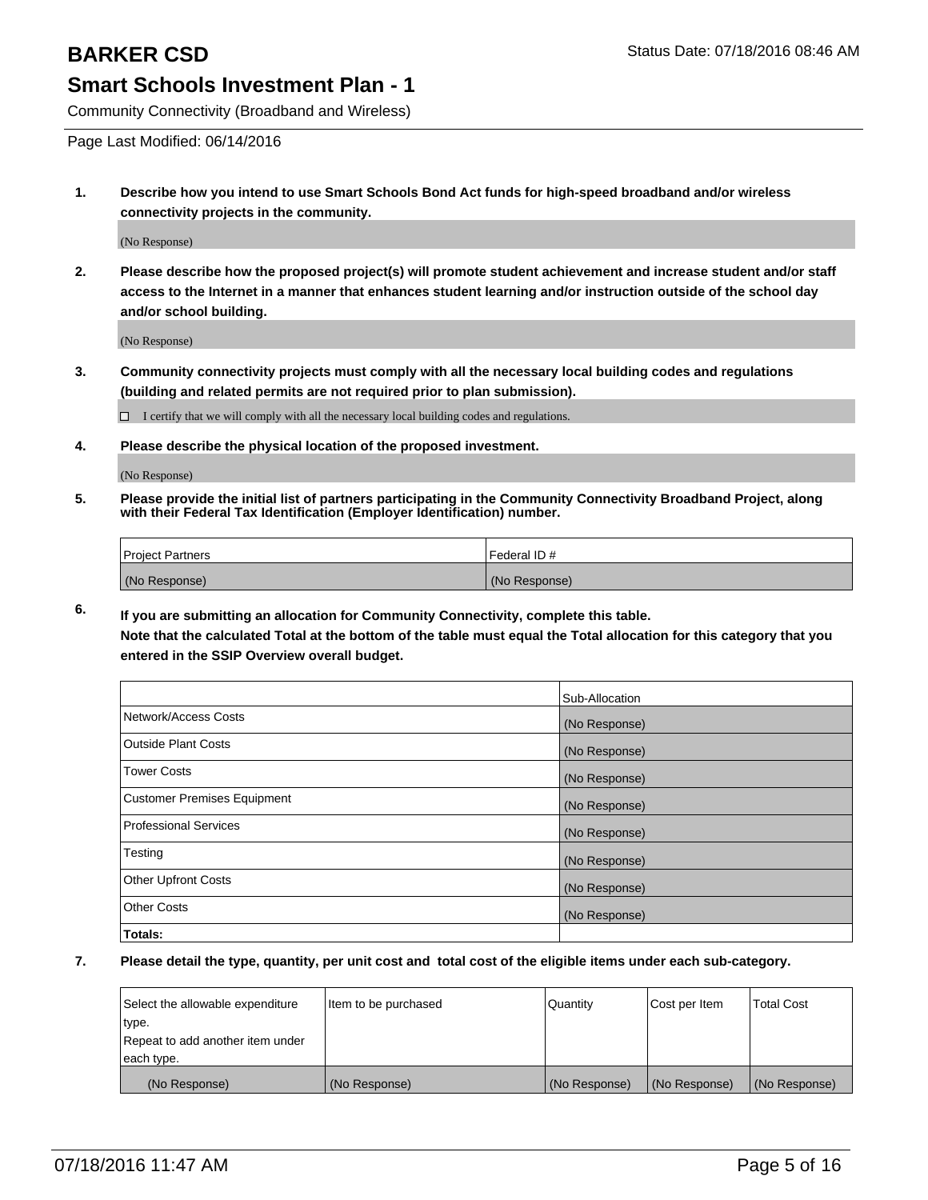Community Connectivity (Broadband and Wireless)

Page Last Modified: 06/14/2016

**1. Describe how you intend to use Smart Schools Bond Act funds for high-speed broadband and/or wireless connectivity projects in the community.**

(No Response)

**2. Please describe how the proposed project(s) will promote student achievement and increase student and/or staff access to the Internet in a manner that enhances student learning and/or instruction outside of the school day and/or school building.**

(No Response)

**3. Community connectivity projects must comply with all the necessary local building codes and regulations (building and related permits are not required prior to plan submission).**

 $\Box$  I certify that we will comply with all the necessary local building codes and regulations.

**4. Please describe the physical location of the proposed investment.**

(No Response)

**5. Please provide the initial list of partners participating in the Community Connectivity Broadband Project, along with their Federal Tax Identification (Employer Identification) number.**

| Project Partners | <b>IFederal ID#</b> |
|------------------|---------------------|
| (No Response)    | (No Response)       |

**6. If you are submitting an allocation for Community Connectivity, complete this table. Note that the calculated Total at the bottom of the table must equal the Total allocation for this category that you**

**entered in the SSIP Overview overall budget.**

|                             | Sub-Allocation |
|-----------------------------|----------------|
| Network/Access Costs        | (No Response)  |
| Outside Plant Costs         | (No Response)  |
| <b>Tower Costs</b>          | (No Response)  |
| Customer Premises Equipment | (No Response)  |
| Professional Services       | (No Response)  |
| Testing                     | (No Response)  |
| Other Upfront Costs         | (No Response)  |
| Other Costs                 | (No Response)  |
| Totals:                     |                |

| Select the allowable expenditure | Item to be purchased | Quantity      | Cost per Item | <b>Total Cost</b> |
|----------------------------------|----------------------|---------------|---------------|-------------------|
| type.                            |                      |               |               |                   |
| Repeat to add another item under |                      |               |               |                   |
| each type.                       |                      |               |               |                   |
| (No Response)                    | (No Response)        | (No Response) | (No Response) | (No Response)     |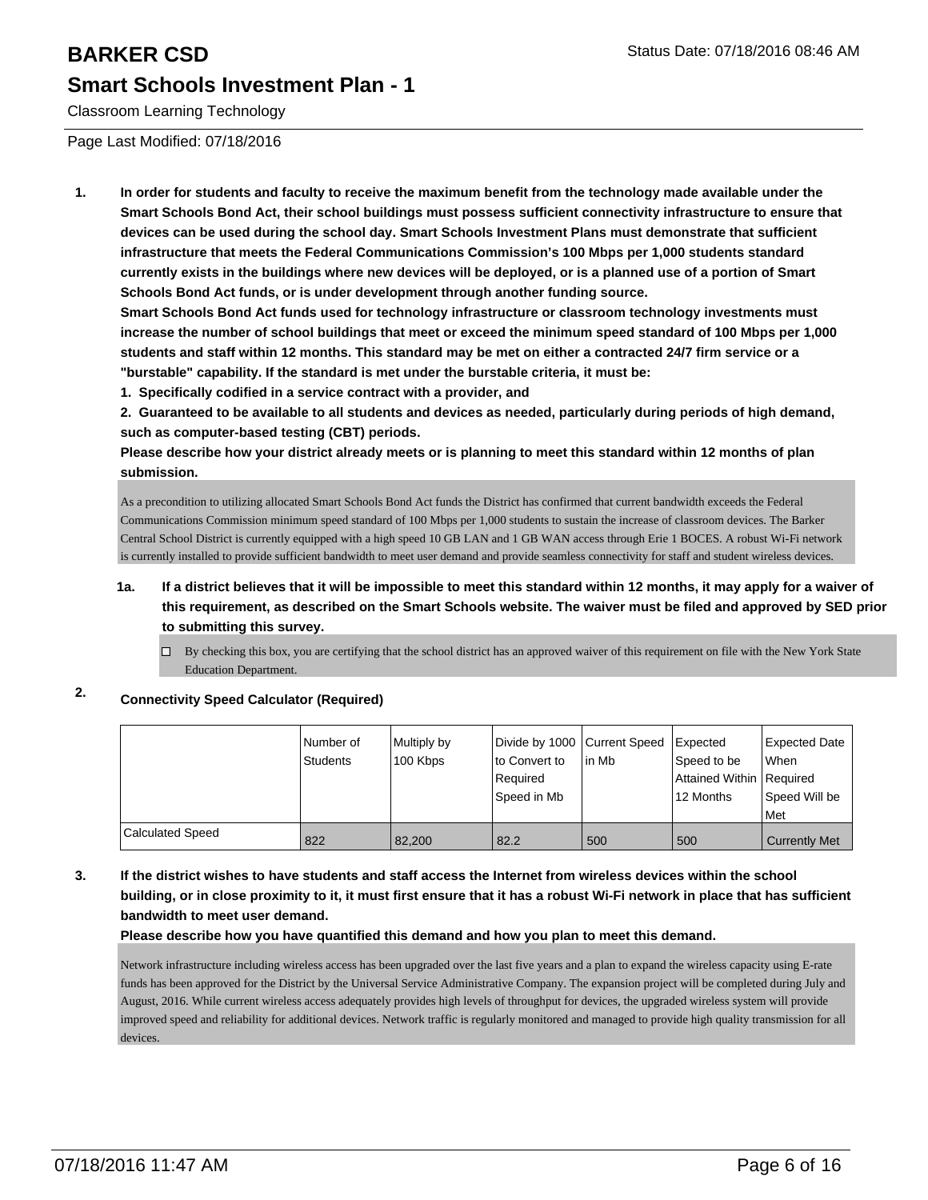Classroom Learning Technology

Page Last Modified: 07/18/2016

**1. In order for students and faculty to receive the maximum benefit from the technology made available under the Smart Schools Bond Act, their school buildings must possess sufficient connectivity infrastructure to ensure that devices can be used during the school day. Smart Schools Investment Plans must demonstrate that sufficient infrastructure that meets the Federal Communications Commission's 100 Mbps per 1,000 students standard currently exists in the buildings where new devices will be deployed, or is a planned use of a portion of Smart Schools Bond Act funds, or is under development through another funding source.**

**Smart Schools Bond Act funds used for technology infrastructure or classroom technology investments must increase the number of school buildings that meet or exceed the minimum speed standard of 100 Mbps per 1,000 students and staff within 12 months. This standard may be met on either a contracted 24/7 firm service or a "burstable" capability. If the standard is met under the burstable criteria, it must be:**

**1. Specifically codified in a service contract with a provider, and**

**2. Guaranteed to be available to all students and devices as needed, particularly during periods of high demand, such as computer-based testing (CBT) periods.**

**Please describe how your district already meets or is planning to meet this standard within 12 months of plan submission.**

As a precondition to utilizing allocated Smart Schools Bond Act funds the District has confirmed that current bandwidth exceeds the Federal Communications Commission minimum speed standard of 100 Mbps per 1,000 students to sustain the increase of classroom devices. The Barker Central School District is currently equipped with a high speed 10 GB LAN and 1 GB WAN access through Erie 1 BOCES. A robust Wi-Fi network is currently installed to provide sufficient bandwidth to meet user demand and provide seamless connectivity for staff and student wireless devices.

### **1a. If a district believes that it will be impossible to meet this standard within 12 months, it may apply for a waiver of this requirement, as described on the Smart Schools website. The waiver must be filed and approved by SED prior to submitting this survey.**

By checking this box, you are certifying that the school district has an approved waiver of this requirement on file with the New York State  $\Box$ Education Department.

## **2. Connectivity Speed Calculator (Required)**

|                         | Number of<br>Students | Multiply by<br>100 Kbps | Divide by 1000 Current Speed<br>to Convert to<br>Required<br>Speed in Mb | l in Mb | <b>I</b> Expected<br>Speed to be<br>Attained Within Required<br>12 Months | Expected Date<br><b>When</b><br>Speed Will be |
|-------------------------|-----------------------|-------------------------|--------------------------------------------------------------------------|---------|---------------------------------------------------------------------------|-----------------------------------------------|
|                         |                       |                         |                                                                          |         |                                                                           | Met                                           |
| <b>Calculated Speed</b> | 822                   | 82,200                  | 82.2                                                                     | 500     | 500                                                                       | Currently Met                                 |

#### **3. If the district wishes to have students and staff access the Internet from wireless devices within the school building, or in close proximity to it, it must first ensure that it has a robust Wi-Fi network in place that has sufficient bandwidth to meet user demand.**

**Please describe how you have quantified this demand and how you plan to meet this demand.**

Network infrastructure including wireless access has been upgraded over the last five years and a plan to expand the wireless capacity using E-rate funds has been approved for the District by the Universal Service Administrative Company. The expansion project will be completed during July and August, 2016. While current wireless access adequately provides high levels of throughput for devices, the upgraded wireless system will provide improved speed and reliability for additional devices. Network traffic is regularly monitored and managed to provide high quality transmission for all devices.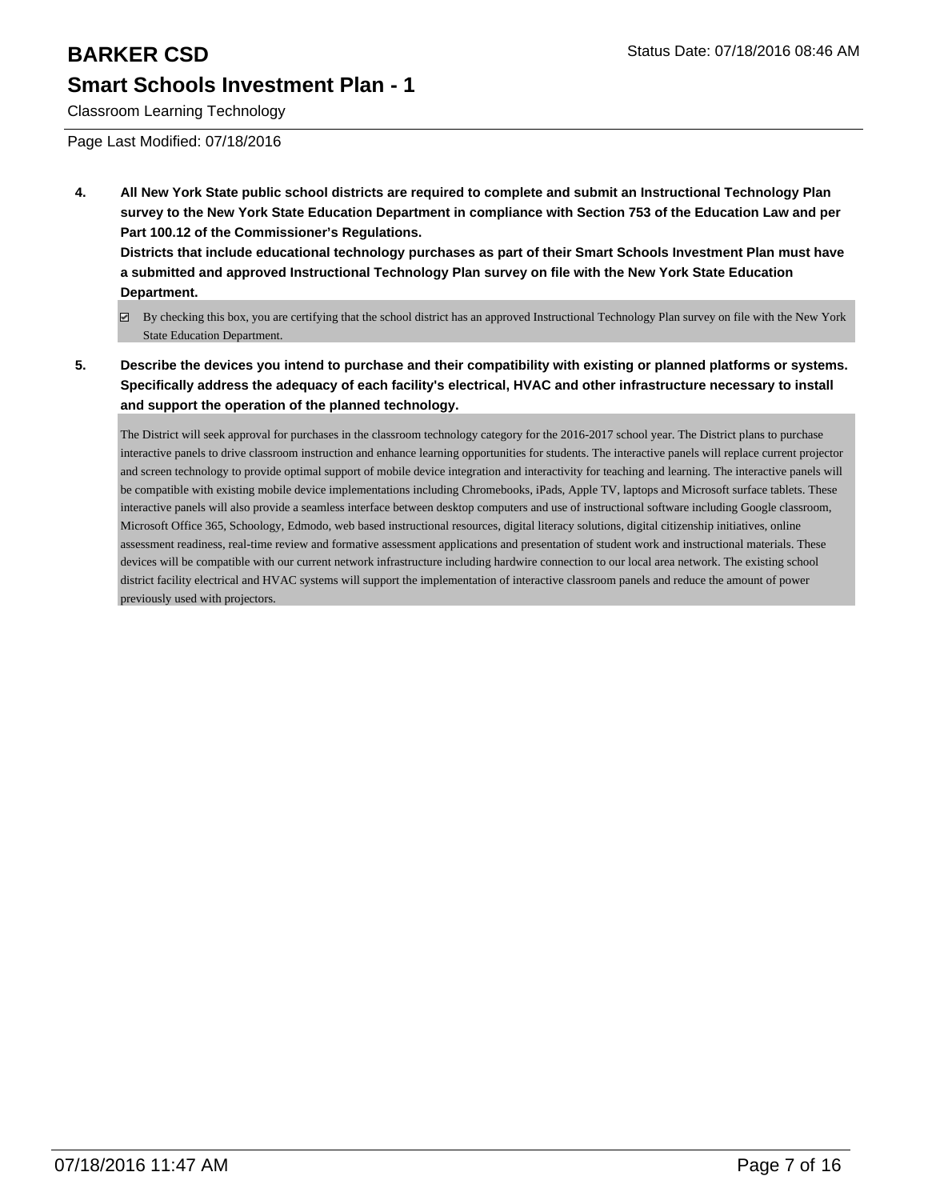Classroom Learning Technology

Page Last Modified: 07/18/2016

**4. All New York State public school districts are required to complete and submit an Instructional Technology Plan survey to the New York State Education Department in compliance with Section 753 of the Education Law and per Part 100.12 of the Commissioner's Regulations.**

**Districts that include educational technology purchases as part of their Smart Schools Investment Plan must have a submitted and approved Instructional Technology Plan survey on file with the New York State Education Department.**

- By checking this box, you are certifying that the school district has an approved Instructional Technology Plan survey on file with the New York State Education Department.
- **5. Describe the devices you intend to purchase and their compatibility with existing or planned platforms or systems. Specifically address the adequacy of each facility's electrical, HVAC and other infrastructure necessary to install and support the operation of the planned technology.**

The District will seek approval for purchases in the classroom technology category for the 2016-2017 school year. The District plans to purchase interactive panels to drive classroom instruction and enhance learning opportunities for students. The interactive panels will replace current projector and screen technology to provide optimal support of mobile device integration and interactivity for teaching and learning. The interactive panels will be compatible with existing mobile device implementations including Chromebooks, iPads, Apple TV, laptops and Microsoft surface tablets. These interactive panels will also provide a seamless interface between desktop computers and use of instructional software including Google classroom, Microsoft Office 365, Schoology, Edmodo, web based instructional resources, digital literacy solutions, digital citizenship initiatives, online assessment readiness, real-time review and formative assessment applications and presentation of student work and instructional materials. These devices will be compatible with our current network infrastructure including hardwire connection to our local area network. The existing school district facility electrical and HVAC systems will support the implementation of interactive classroom panels and reduce the amount of power previously used with projectors.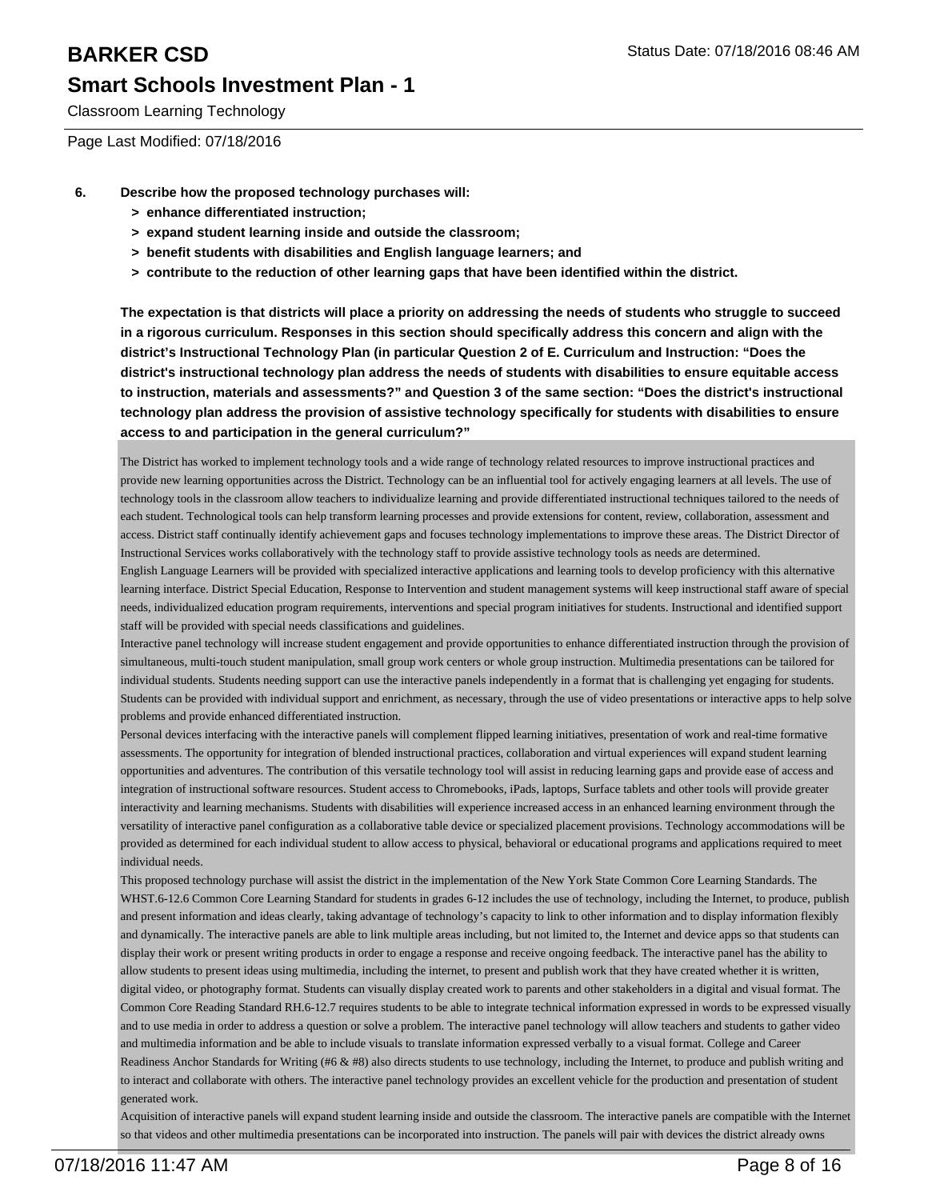Classroom Learning Technology

Page Last Modified: 07/18/2016

- **6. Describe how the proposed technology purchases will:**
	- **> enhance differentiated instruction;**
	- **> expand student learning inside and outside the classroom;**
	- **> benefit students with disabilities and English language learners; and**
	- **> contribute to the reduction of other learning gaps that have been identified within the district.**

**The expectation is that districts will place a priority on addressing the needs of students who struggle to succeed in a rigorous curriculum. Responses in this section should specifically address this concern and align with the district's Instructional Technology Plan (in particular Question 2 of E. Curriculum and Instruction: "Does the district's instructional technology plan address the needs of students with disabilities to ensure equitable access to instruction, materials and assessments?" and Question 3 of the same section: "Does the district's instructional technology plan address the provision of assistive technology specifically for students with disabilities to ensure access to and participation in the general curriculum?"**

The District has worked to implement technology tools and a wide range of technology related resources to improve instructional practices and provide new learning opportunities across the District. Technology can be an influential tool for actively engaging learners at all levels. The use of technology tools in the classroom allow teachers to individualize learning and provide differentiated instructional techniques tailored to the needs of each student. Technological tools can help transform learning processes and provide extensions for content, review, collaboration, assessment and access. District staff continually identify achievement gaps and focuses technology implementations to improve these areas. The District Director of Instructional Services works collaboratively with the technology staff to provide assistive technology tools as needs are determined.

English Language Learners will be provided with specialized interactive applications and learning tools to develop proficiency with this alternative learning interface. District Special Education, Response to Intervention and student management systems will keep instructional staff aware of special needs, individualized education program requirements, interventions and special program initiatives for students. Instructional and identified support staff will be provided with special needs classifications and guidelines.

Interactive panel technology will increase student engagement and provide opportunities to enhance differentiated instruction through the provision of simultaneous, multi-touch student manipulation, small group work centers or whole group instruction. Multimedia presentations can be tailored for individual students. Students needing support can use the interactive panels independently in a format that is challenging yet engaging for students. Students can be provided with individual support and enrichment, as necessary, through the use of video presentations or interactive apps to help solve problems and provide enhanced differentiated instruction.

Personal devices interfacing with the interactive panels will complement flipped learning initiatives, presentation of work and real-time formative assessments. The opportunity for integration of blended instructional practices, collaboration and virtual experiences will expand student learning opportunities and adventures. The contribution of this versatile technology tool will assist in reducing learning gaps and provide ease of access and integration of instructional software resources. Student access to Chromebooks, iPads, laptops, Surface tablets and other tools will provide greater interactivity and learning mechanisms. Students with disabilities will experience increased access in an enhanced learning environment through the versatility of interactive panel configuration as a collaborative table device or specialized placement provisions. Technology accommodations will be provided as determined for each individual student to allow access to physical, behavioral or educational programs and applications required to meet individual needs.

This proposed technology purchase will assist the district in the implementation of the New York State Common Core Learning Standards. The WHST.6-12.6 Common Core Learning Standard for students in grades 6-12 includes the use of technology, including the Internet, to produce, publish and present information and ideas clearly, taking advantage of technology's capacity to link to other information and to display information flexibly and dynamically. The interactive panels are able to link multiple areas including, but not limited to, the Internet and device apps so that students can display their work or present writing products in order to engage a response and receive ongoing feedback. The interactive panel has the ability to allow students to present ideas using multimedia, including the internet, to present and publish work that they have created whether it is written, digital video, or photography format. Students can visually display created work to parents and other stakeholders in a digital and visual format. The Common Core Reading Standard RH.6-12.7 requires students to be able to integrate technical information expressed in words to be expressed visually and to use media in order to address a question or solve a problem. The interactive panel technology will allow teachers and students to gather video and multimedia information and be able to include visuals to translate information expressed verbally to a visual format. College and Career Readiness Anchor Standards for Writing (#6 & #8) also directs students to use technology, including the Internet, to produce and publish writing and to interact and collaborate with others. The interactive panel technology provides an excellent vehicle for the production and presentation of student generated work.

Acquisition of interactive panels will expand student learning inside and outside the classroom. The interactive panels are compatible with the Internet so that videos and other multimedia presentations can be incorporated into instruction. The panels will pair with devices the district already owns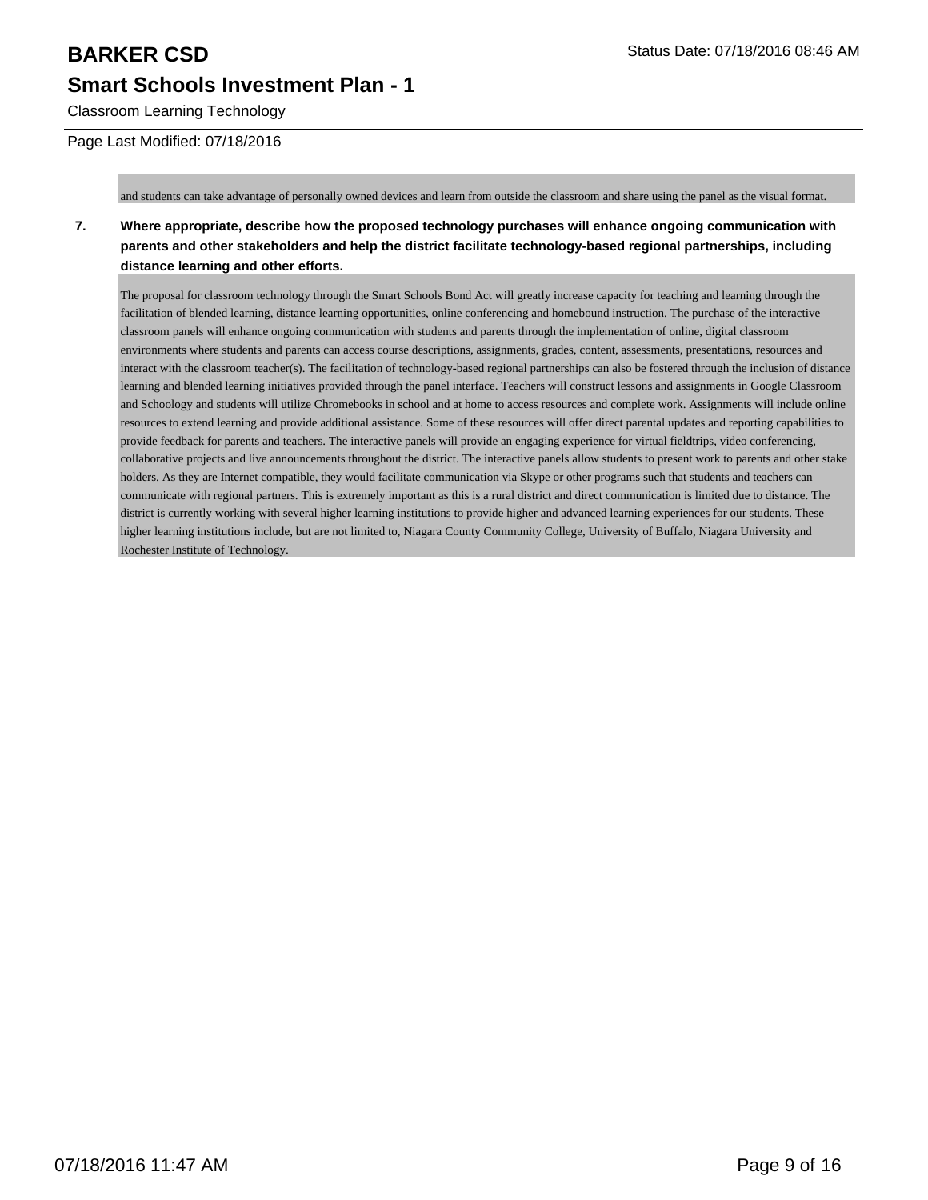Classroom Learning Technology

#### Page Last Modified: 07/18/2016

and students can take advantage of personally owned devices and learn from outside the classroom and share using the panel as the visual format.

### **7. Where appropriate, describe how the proposed technology purchases will enhance ongoing communication with parents and other stakeholders and help the district facilitate technology-based regional partnerships, including distance learning and other efforts.**

The proposal for classroom technology through the Smart Schools Bond Act will greatly increase capacity for teaching and learning through the facilitation of blended learning, distance learning opportunities, online conferencing and homebound instruction. The purchase of the interactive classroom panels will enhance ongoing communication with students and parents through the implementation of online, digital classroom environments where students and parents can access course descriptions, assignments, grades, content, assessments, presentations, resources and interact with the classroom teacher(s). The facilitation of technology-based regional partnerships can also be fostered through the inclusion of distance learning and blended learning initiatives provided through the panel interface. Teachers will construct lessons and assignments in Google Classroom and Schoology and students will utilize Chromebooks in school and at home to access resources and complete work. Assignments will include online resources to extend learning and provide additional assistance. Some of these resources will offer direct parental updates and reporting capabilities to provide feedback for parents and teachers. The interactive panels will provide an engaging experience for virtual fieldtrips, video conferencing, collaborative projects and live announcements throughout the district. The interactive panels allow students to present work to parents and other stake holders. As they are Internet compatible, they would facilitate communication via Skype or other programs such that students and teachers can communicate with regional partners. This is extremely important as this is a rural district and direct communication is limited due to distance. The district is currently working with several higher learning institutions to provide higher and advanced learning experiences for our students. These higher learning institutions include, but are not limited to, Niagara County Community College, University of Buffalo, Niagara University and Rochester Institute of Technology.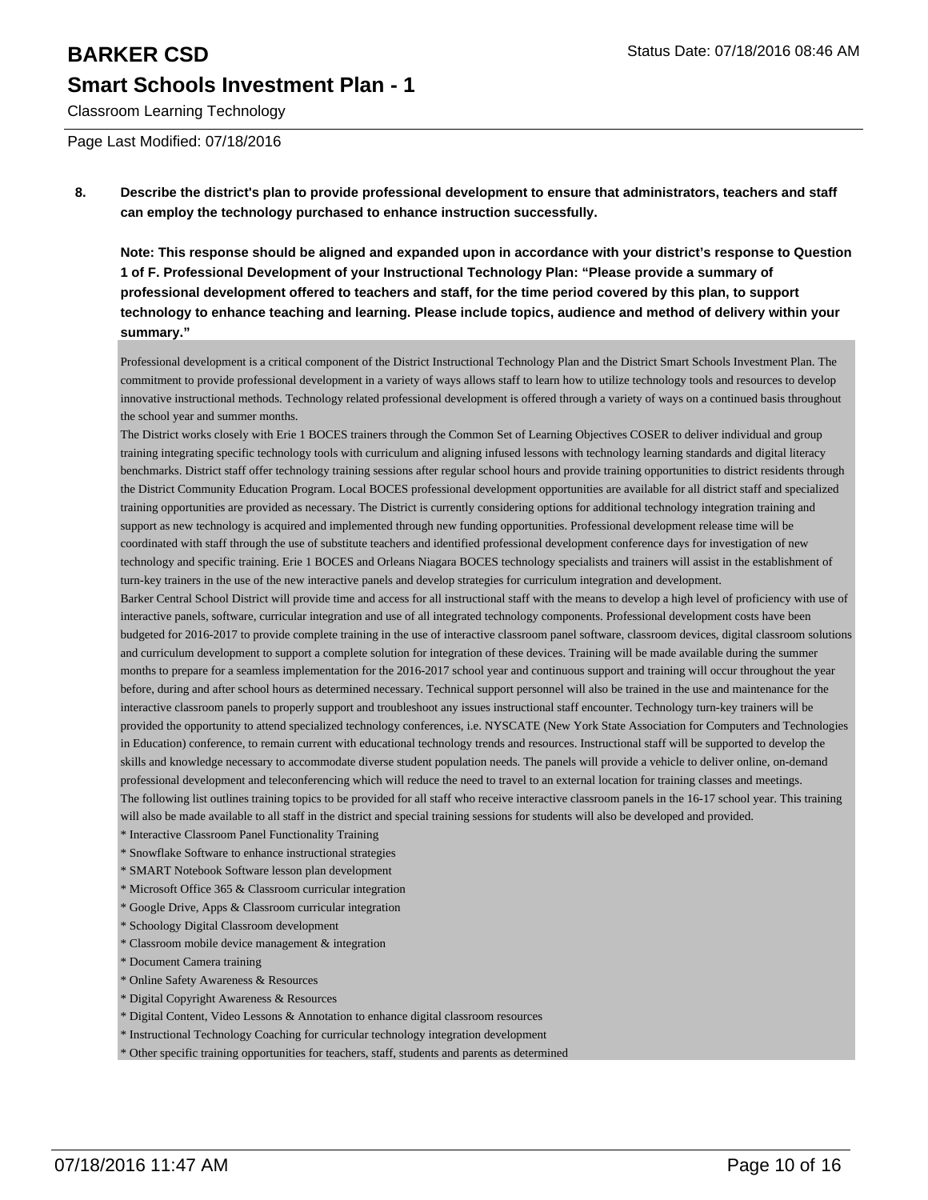# **BARKER CSD** Status Date: 07/18/2016 08:46 AM **Smart Schools Investment Plan - 1**

Classroom Learning Technology

Page Last Modified: 07/18/2016

**8. Describe the district's plan to provide professional development to ensure that administrators, teachers and staff can employ the technology purchased to enhance instruction successfully.**

**Note: This response should be aligned and expanded upon in accordance with your district's response to Question 1 of F. Professional Development of your Instructional Technology Plan: "Please provide a summary of professional development offered to teachers and staff, for the time period covered by this plan, to support technology to enhance teaching and learning. Please include topics, audience and method of delivery within your summary."**

Professional development is a critical component of the District Instructional Technology Plan and the District Smart Schools Investment Plan. The commitment to provide professional development in a variety of ways allows staff to learn how to utilize technology tools and resources to develop innovative instructional methods. Technology related professional development is offered through a variety of ways on a continued basis throughout the school year and summer months.

The District works closely with Erie 1 BOCES trainers through the Common Set of Learning Objectives COSER to deliver individual and group training integrating specific technology tools with curriculum and aligning infused lessons with technology learning standards and digital literacy benchmarks. District staff offer technology training sessions after regular school hours and provide training opportunities to district residents through the District Community Education Program. Local BOCES professional development opportunities are available for all district staff and specialized training opportunities are provided as necessary. The District is currently considering options for additional technology integration training and support as new technology is acquired and implemented through new funding opportunities. Professional development release time will be coordinated with staff through the use of substitute teachers and identified professional development conference days for investigation of new technology and specific training. Erie 1 BOCES and Orleans Niagara BOCES technology specialists and trainers will assist in the establishment of turn-key trainers in the use of the new interactive panels and develop strategies for curriculum integration and development.

Barker Central School District will provide time and access for all instructional staff with the means to develop a high level of proficiency with use of interactive panels, software, curricular integration and use of all integrated technology components. Professional development costs have been budgeted for 2016-2017 to provide complete training in the use of interactive classroom panel software, classroom devices, digital classroom solutions and curriculum development to support a complete solution for integration of these devices. Training will be made available during the summer months to prepare for a seamless implementation for the 2016-2017 school year and continuous support and training will occur throughout the year before, during and after school hours as determined necessary. Technical support personnel will also be trained in the use and maintenance for the interactive classroom panels to properly support and troubleshoot any issues instructional staff encounter. Technology turn-key trainers will be provided the opportunity to attend specialized technology conferences, i.e. NYSCATE (New York State Association for Computers and Technologies in Education) conference, to remain current with educational technology trends and resources. Instructional staff will be supported to develop the skills and knowledge necessary to accommodate diverse student population needs. The panels will provide a vehicle to deliver online, on-demand professional development and teleconferencing which will reduce the need to travel to an external location for training classes and meetings. The following list outlines training topics to be provided for all staff who receive interactive classroom panels in the 16-17 school year. This training will also be made available to all staff in the district and special training sessions for students will also be developed and provided.

\* Interactive Classroom Panel Functionality Training

- \* Snowflake Software to enhance instructional strategies
- \* SMART Notebook Software lesson plan development
- \* Microsoft Office 365 & Classroom curricular integration
- \* Google Drive, Apps & Classroom curricular integration
- \* Schoology Digital Classroom development
- \* Classroom mobile device management & integration
- \* Document Camera training
- \* Online Safety Awareness & Resources
- \* Digital Copyright Awareness & Resources
- \* Digital Content, Video Lessons & Annotation to enhance digital classroom resources
- \* Instructional Technology Coaching for curricular technology integration development

\* Other specific training opportunities for teachers, staff, students and parents as determined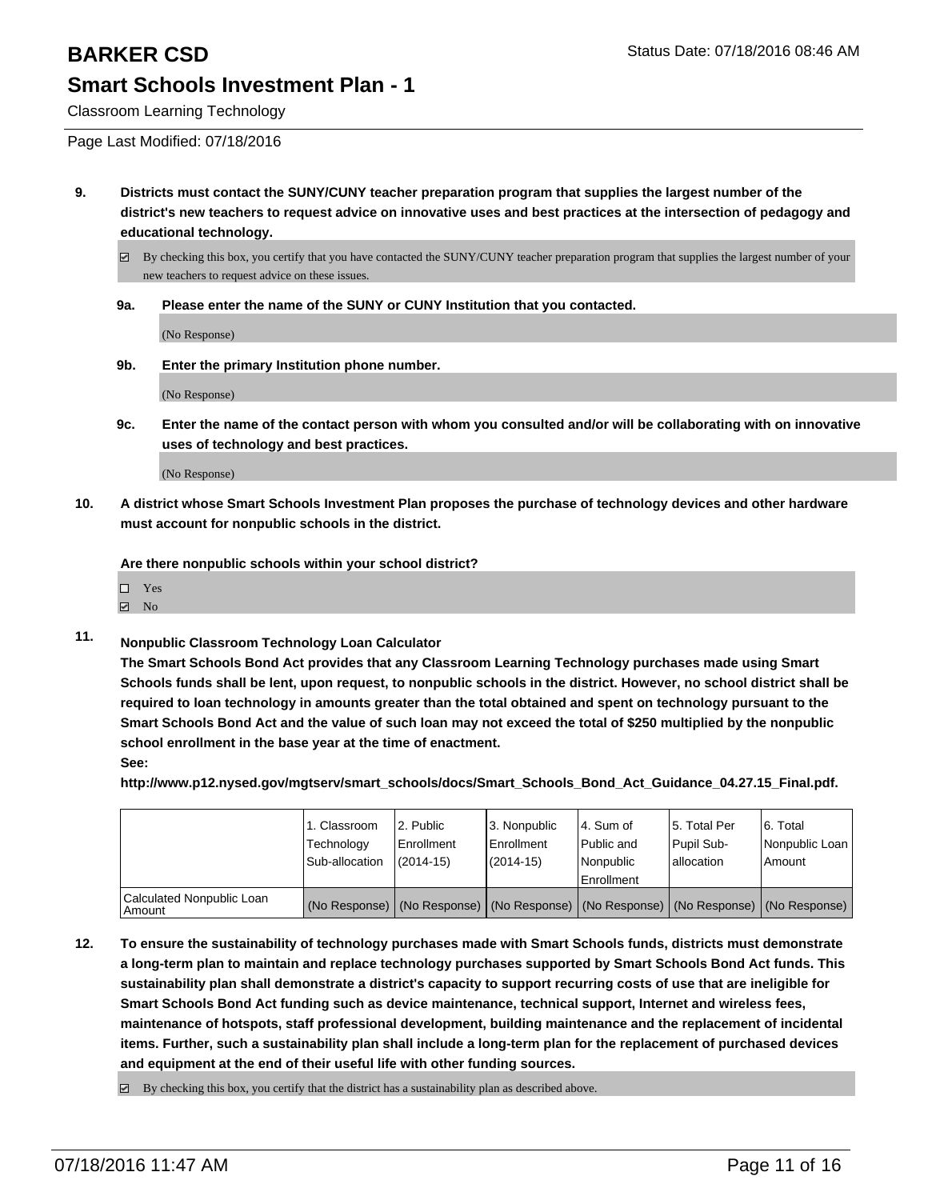Classroom Learning Technology

Page Last Modified: 07/18/2016

**9. Districts must contact the SUNY/CUNY teacher preparation program that supplies the largest number of the district's new teachers to request advice on innovative uses and best practices at the intersection of pedagogy and educational technology.**

 $\boxtimes$  By checking this box, you certify that you have contacted the SUNY/CUNY teacher preparation program that supplies the largest number of your new teachers to request advice on these issues.

**9a. Please enter the name of the SUNY or CUNY Institution that you contacted.**

(No Response)

**9b. Enter the primary Institution phone number.**

(No Response)

**9c. Enter the name of the contact person with whom you consulted and/or will be collaborating with on innovative uses of technology and best practices.**

(No Response)

**10. A district whose Smart Schools Investment Plan proposes the purchase of technology devices and other hardware must account for nonpublic schools in the district.**

**Are there nonpublic schools within your school district?**

| $\Box$ Yes          |  |
|---------------------|--|
| $\triangleright$ No |  |

**11. Nonpublic Classroom Technology Loan Calculator**

**The Smart Schools Bond Act provides that any Classroom Learning Technology purchases made using Smart Schools funds shall be lent, upon request, to nonpublic schools in the district. However, no school district shall be required to loan technology in amounts greater than the total obtained and spent on technology pursuant to the Smart Schools Bond Act and the value of such loan may not exceed the total of \$250 multiplied by the nonpublic school enrollment in the base year at the time of enactment. See:**

**http://www.p12.nysed.gov/mgtserv/smart\_schools/docs/Smart\_Schools\_Bond\_Act\_Guidance\_04.27.15\_Final.pdf.**

|                                         | 1. Classroom<br>Technology<br>Sub-allocation | 2. Public<br>l Enrollment<br>$(2014-15)$ | 3. Nonpublic<br>Enrollment<br>(2014-15) | l 4. Sum of<br>l Public and<br>l Nonpublic<br><b>Enrollment</b>                               | 15. Total Per<br><b>Pupil Sub-</b><br>lallocation | 6. Total<br>Nonpublic Loan<br>l Amount |
|-----------------------------------------|----------------------------------------------|------------------------------------------|-----------------------------------------|-----------------------------------------------------------------------------------------------|---------------------------------------------------|----------------------------------------|
| Calculated Nonpublic Loan<br>l Amount i |                                              |                                          |                                         | (No Response)   (No Response)   (No Response)   (No Response)   (No Response)   (No Response) |                                                   |                                        |

**12. To ensure the sustainability of technology purchases made with Smart Schools funds, districts must demonstrate a long-term plan to maintain and replace technology purchases supported by Smart Schools Bond Act funds. This sustainability plan shall demonstrate a district's capacity to support recurring costs of use that are ineligible for Smart Schools Bond Act funding such as device maintenance, technical support, Internet and wireless fees, maintenance of hotspots, staff professional development, building maintenance and the replacement of incidental items. Further, such a sustainability plan shall include a long-term plan for the replacement of purchased devices and equipment at the end of their useful life with other funding sources.**

 $\boxtimes$  By checking this box, you certify that the district has a sustainability plan as described above.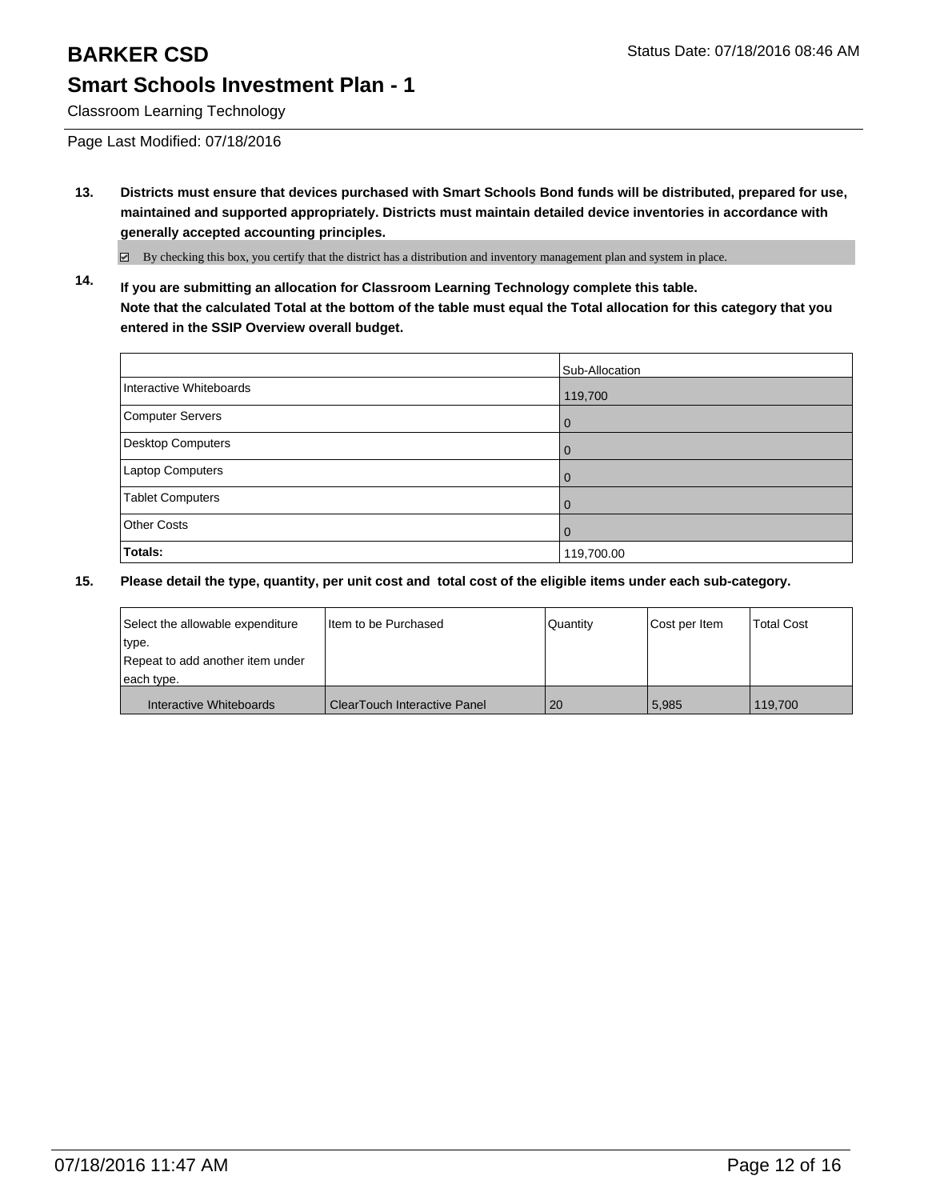Classroom Learning Technology

Page Last Modified: 07/18/2016

**13. Districts must ensure that devices purchased with Smart Schools Bond funds will be distributed, prepared for use, maintained and supported appropriately. Districts must maintain detailed device inventories in accordance with generally accepted accounting principles.**

By checking this box, you certify that the district has a distribution and inventory management plan and system in place.

**14. If you are submitting an allocation for Classroom Learning Technology complete this table. Note that the calculated Total at the bottom of the table must equal the Total allocation for this category that you entered in the SSIP Overview overall budget.**

|                          | Sub-Allocation |
|--------------------------|----------------|
| Interactive Whiteboards  | 119,700        |
| Computer Servers         | 0              |
| <b>Desktop Computers</b> | 0              |
| Laptop Computers         | $\Omega$       |
| <b>Tablet Computers</b>  | 0              |
| <b>Other Costs</b>       | O              |
| Totals:                  | 119,700.00     |

| Select the allowable expenditure | Iltem to be Purchased          | Quantity | Cost per Item | <b>Total Cost</b> |
|----------------------------------|--------------------------------|----------|---------------|-------------------|
| type.                            |                                |          |               |                   |
| Repeat to add another item under |                                |          |               |                   |
| each type.                       |                                |          |               |                   |
| Interactive Whiteboards          | l ClearTouch Interactive Panel | 20       | 5.985         | 119.700           |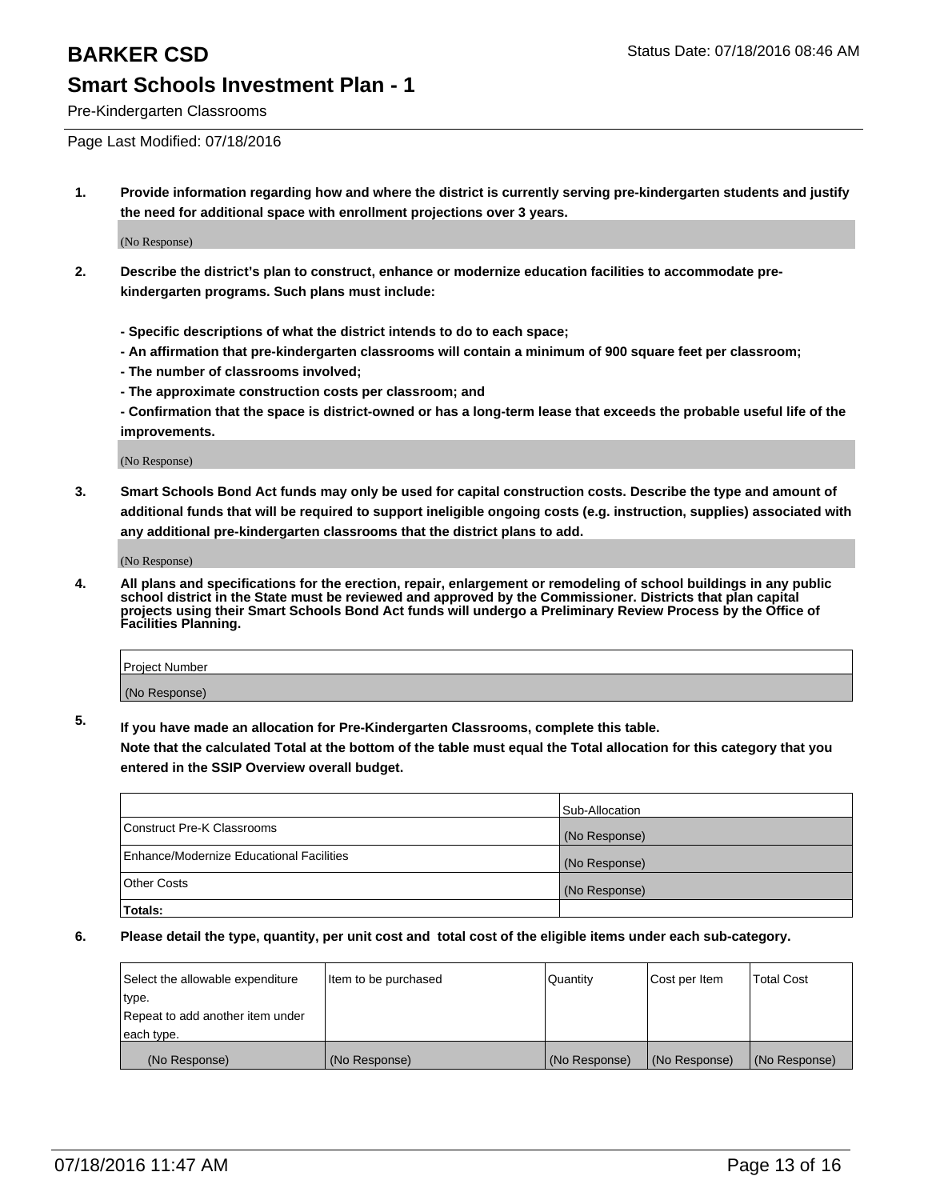Pre-Kindergarten Classrooms

Page Last Modified: 07/18/2016

**1. Provide information regarding how and where the district is currently serving pre-kindergarten students and justify the need for additional space with enrollment projections over 3 years.**

(No Response)

- **2. Describe the district's plan to construct, enhance or modernize education facilities to accommodate prekindergarten programs. Such plans must include:**
	- **Specific descriptions of what the district intends to do to each space;**
	- **An affirmation that pre-kindergarten classrooms will contain a minimum of 900 square feet per classroom;**
	- **The number of classrooms involved;**
	- **The approximate construction costs per classroom; and**
	- **Confirmation that the space is district-owned or has a long-term lease that exceeds the probable useful life of the improvements.**

(No Response)

**3. Smart Schools Bond Act funds may only be used for capital construction costs. Describe the type and amount of additional funds that will be required to support ineligible ongoing costs (e.g. instruction, supplies) associated with any additional pre-kindergarten classrooms that the district plans to add.**

(No Response)

**4. All plans and specifications for the erection, repair, enlargement or remodeling of school buildings in any public school district in the State must be reviewed and approved by the Commissioner. Districts that plan capital projects using their Smart Schools Bond Act funds will undergo a Preliminary Review Process by the Office of Facilities Planning.**

| Project Number |  |
|----------------|--|
| (No Response)  |  |

**5. If you have made an allocation for Pre-Kindergarten Classrooms, complete this table.**

**Note that the calculated Total at the bottom of the table must equal the Total allocation for this category that you entered in the SSIP Overview overall budget.**

|                                          | Sub-Allocation |
|------------------------------------------|----------------|
| Construct Pre-K Classrooms               | (No Response)  |
| Enhance/Modernize Educational Facilities | (No Response)  |
| <b>Other Costs</b>                       | (No Response)  |
| Totals:                                  |                |

| Select the allowable expenditure | litem to be purchased | Quantity      | Cost per Item | <b>Total Cost</b> |
|----------------------------------|-----------------------|---------------|---------------|-------------------|
| type.                            |                       |               |               |                   |
| Repeat to add another item under |                       |               |               |                   |
| each type.                       |                       |               |               |                   |
| (No Response)                    | (No Response)         | (No Response) | (No Response) | (No Response)     |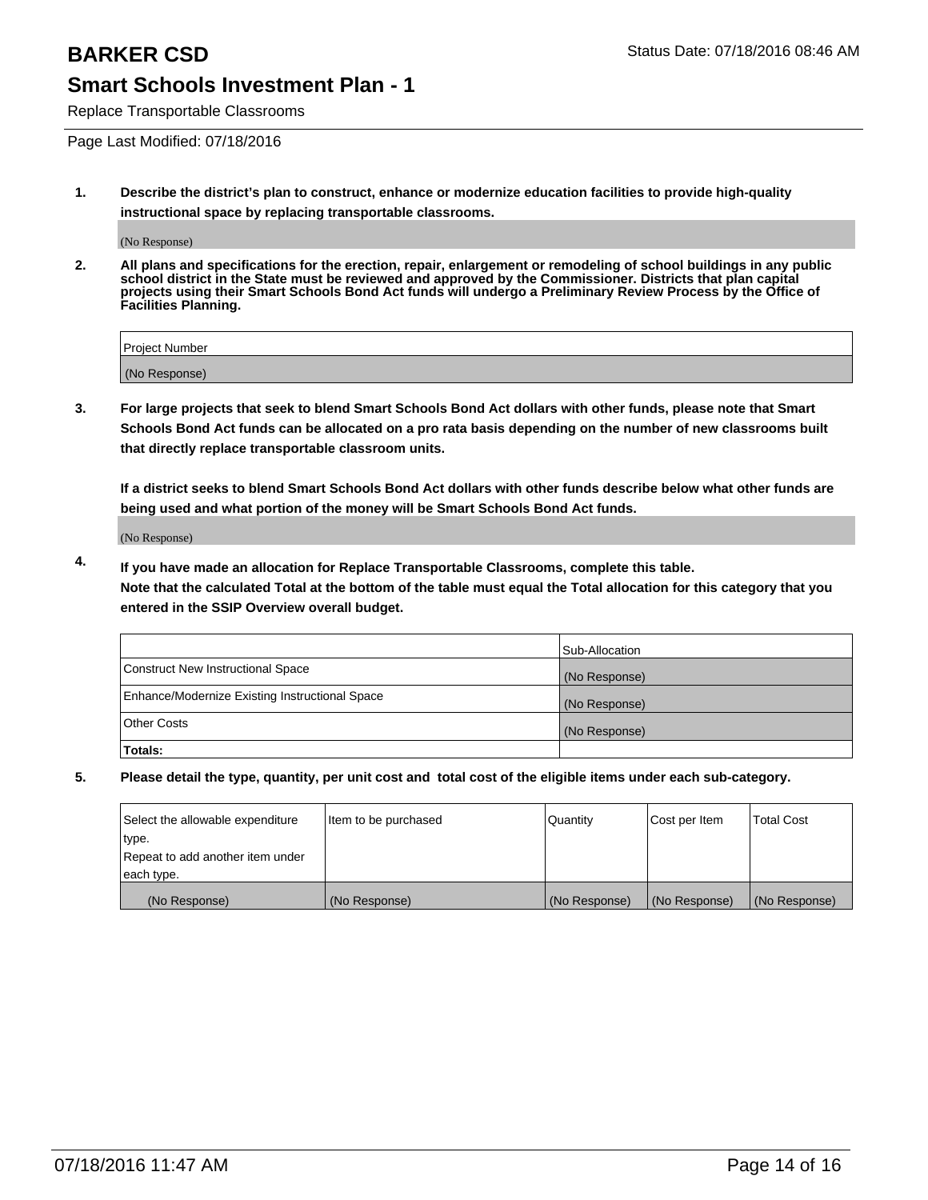Replace Transportable Classrooms

Page Last Modified: 07/18/2016

**1. Describe the district's plan to construct, enhance or modernize education facilities to provide high-quality instructional space by replacing transportable classrooms.**

(No Response)

**2. All plans and specifications for the erection, repair, enlargement or remodeling of school buildings in any public school district in the State must be reviewed and approved by the Commissioner. Districts that plan capital projects using their Smart Schools Bond Act funds will undergo a Preliminary Review Process by the Office of Facilities Planning.**

| <b>Project Number</b> |  |
|-----------------------|--|
| (No Response)         |  |

**3. For large projects that seek to blend Smart Schools Bond Act dollars with other funds, please note that Smart Schools Bond Act funds can be allocated on a pro rata basis depending on the number of new classrooms built that directly replace transportable classroom units.**

**If a district seeks to blend Smart Schools Bond Act dollars with other funds describe below what other funds are being used and what portion of the money will be Smart Schools Bond Act funds.**

(No Response)

**4. If you have made an allocation for Replace Transportable Classrooms, complete this table. Note that the calculated Total at the bottom of the table must equal the Total allocation for this category that you entered in the SSIP Overview overall budget.**

|                                                | Sub-Allocation |
|------------------------------------------------|----------------|
| Construct New Instructional Space              | (No Response)  |
| Enhance/Modernize Existing Instructional Space | (No Response)  |
| Other Costs                                    | (No Response)  |
| Totals:                                        |                |

| Select the allowable expenditure | Item to be purchased | Quantity      | Cost per Item | <b>Total Cost</b> |
|----------------------------------|----------------------|---------------|---------------|-------------------|
| type.                            |                      |               |               |                   |
| Repeat to add another item under |                      |               |               |                   |
| each type.                       |                      |               |               |                   |
| (No Response)                    | (No Response)        | (No Response) | (No Response) | (No Response)     |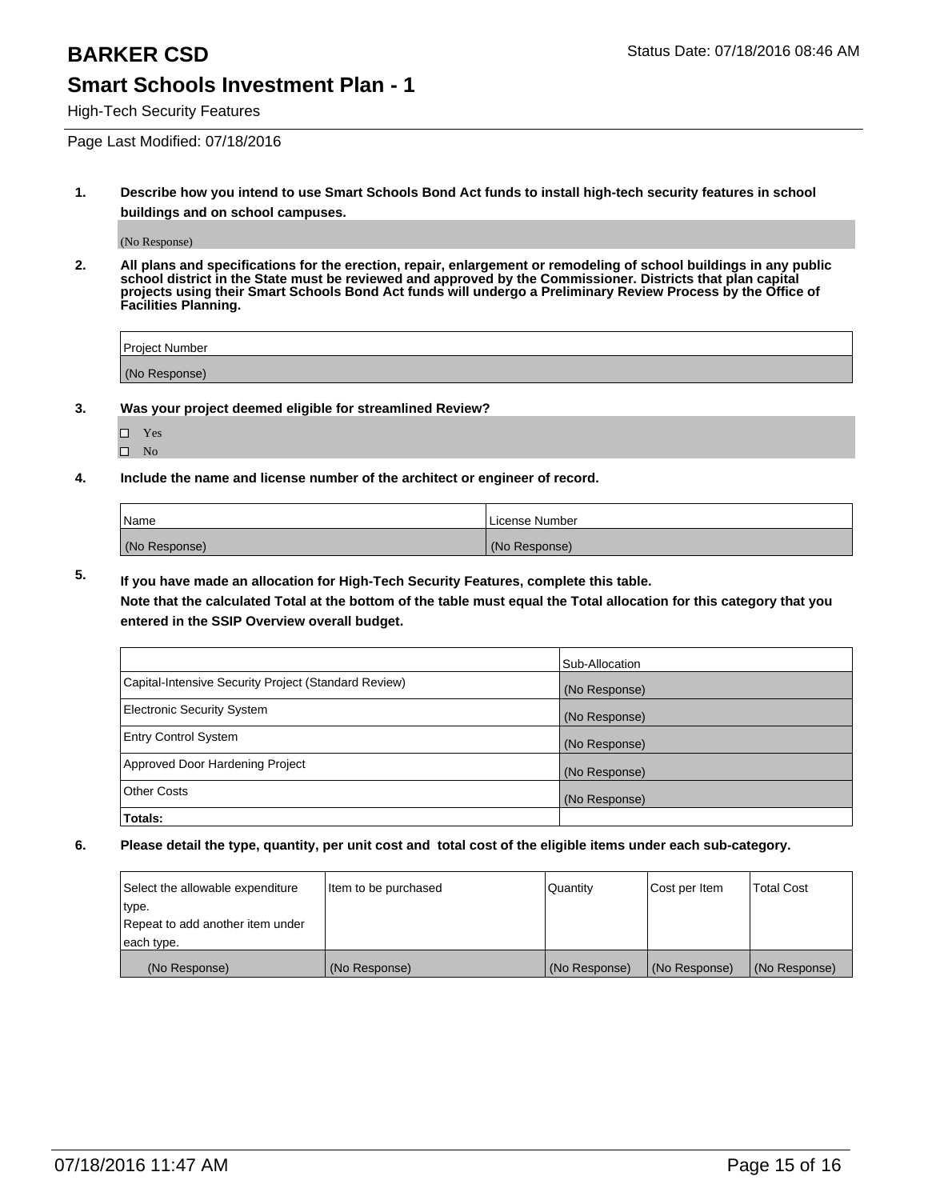High-Tech Security Features

Page Last Modified: 07/18/2016

**1. Describe how you intend to use Smart Schools Bond Act funds to install high-tech security features in school buildings and on school campuses.**

(No Response)

**2. All plans and specifications for the erection, repair, enlargement or remodeling of school buildings in any public school district in the State must be reviewed and approved by the Commissioner. Districts that plan capital projects using their Smart Schools Bond Act funds will undergo a Preliminary Review Process by the Office of Facilities Planning.** 

| Project Number |  |
|----------------|--|
| (No Response)  |  |

**3. Was your project deemed eligible for streamlined Review?**

□ Yes  $\hfill \square$  No

**4. Include the name and license number of the architect or engineer of record.**

| Name          | License Number |
|---------------|----------------|
| (No Response) | (No Response)  |

**5. If you have made an allocation for High-Tech Security Features, complete this table.**

**Note that the calculated Total at the bottom of the table must equal the Total allocation for this category that you entered in the SSIP Overview overall budget.**

|                                                      | Sub-Allocation |
|------------------------------------------------------|----------------|
| Capital-Intensive Security Project (Standard Review) | (No Response)  |
| <b>Electronic Security System</b>                    | (No Response)  |
| <b>Entry Control System</b>                          | (No Response)  |
| Approved Door Hardening Project                      | (No Response)  |
| <b>Other Costs</b>                                   | (No Response)  |
| Totals:                                              |                |

| Select the allowable expenditure | litem to be purchased | Quantity      | Cost per Item | <b>Total Cost</b> |
|----------------------------------|-----------------------|---------------|---------------|-------------------|
| type.                            |                       |               |               |                   |
| Repeat to add another item under |                       |               |               |                   |
| each type.                       |                       |               |               |                   |
| (No Response)                    | (No Response)         | (No Response) | (No Response) | (No Response)     |